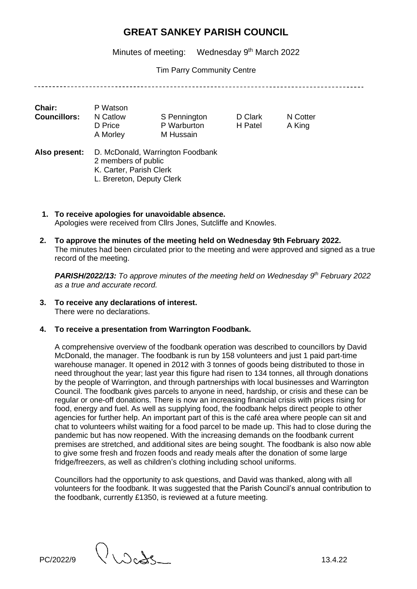Minutes of meeting: Wednesday 9<sup>th</sup> March 2022

Tim Parry Community Centre

| <b>Chair:</b><br><b>Councillors:</b> | P Watson<br>N Catlow<br>D Price<br>A Morley                                 | S Pennington<br>P Warburton<br>M Hussain | D Clark<br>H Patel | N Cotter<br>A King |  |
|--------------------------------------|-----------------------------------------------------------------------------|------------------------------------------|--------------------|--------------------|--|
| Also present:                        | 2 members of public<br>K. Carter, Parish Clerk<br>L. Brereton, Deputy Clerk | D. McDonald, Warrington Foodbank         |                    |                    |  |

- **1. To receive apologies for unavoidable absence.**  Apologies were received from Cllrs Jones, Sutcliffe and Knowles.
- **2. To approve the minutes of the meeting held on Wednesday 9th February 2022.**  The minutes had been circulated prior to the meeting and were approved and signed as a true record of the meeting.

**PARISH/2022/13:** To approve minutes of the meeting held on Wednesday 9<sup>th</sup> February 2022 *as a true and accurate record.*

- **3. To receive any declarations of interest.** There were no declarations.
- **4. To receive a presentation from Warrington Foodbank.**

A comprehensive overview of the foodbank operation was described to councillors by David McDonald, the manager. The foodbank is run by 158 volunteers and just 1 paid part-time warehouse manager. It opened in 2012 with 3 tonnes of goods being distributed to those in need throughout the year; last year this figure had risen to 134 tonnes, all through donations by the people of Warrington, and through partnerships with local businesses and Warrington Council. The foodbank gives parcels to anyone in need, hardship, or crisis and these can be regular or one-off donations. There is now an increasing financial crisis with prices rising for food, energy and fuel. As well as supplying food, the foodbank helps direct people to other agencies for further help. An important part of this is the café area where people can sit and chat to volunteers whilst waiting for a food parcel to be made up. This had to close during the pandemic but has now reopened. With the increasing demands on the foodbank current premises are stretched, and additional sites are being sought. The foodbank is also now able to give some fresh and frozen foods and ready meals after the donation of some large fridge/freezers, as well as children's clothing including school uniforms.

Councillors had the opportunity to ask questions, and David was thanked, along with all volunteers for the foodbank. It was suggested that the Parish Council's annual contribution to the foodbank, currently £1350, is reviewed at a future meeting.

PC/2022/9  $\bigcup_{\text{O}}$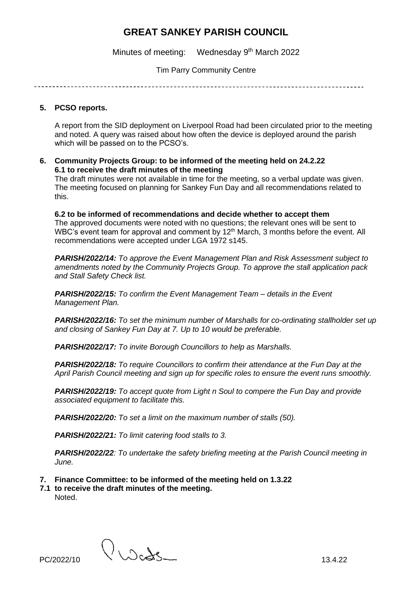Minutes of meeting: Wednesday 9<sup>th</sup> March 2022

Tim Parry Community Centre

### **5. PCSO reports.**

A report from the SID deployment on Liverpool Road had been circulated prior to the meeting and noted. A query was raised about how often the device is deployed around the parish which will be passed on to the PCSO's.

**6. Community Projects Group: to be informed of the meeting held on 24.2.22 6.1 to receive the draft minutes of the meeting**

The draft minutes were not available in time for the meeting, so a verbal update was given. The meeting focused on planning for Sankey Fun Day and all recommendations related to this.

**6.2 to be informed of recommendations and decide whether to accept them** The approved documents were noted with no questions; the relevant ones will be sent to WBC's event team for approval and comment by 12<sup>th</sup> March, 3 months before the event. All recommendations were accepted under LGA 1972 s145.

*PARISH/2022/14: To approve the Event Management Plan and Risk Assessment subject to amendments noted by the Community Projects Group. To approve the stall application pack and Stall Safety Check list.*

*PARISH/2022/15: To confirm the Event Management Team – details in the Event Management Plan.*

*PARISH/2022/16: To set the minimum number of Marshalls for co-ordinating stallholder set up and closing of Sankey Fun Day at 7. Up to 10 would be preferable.*

*PARISH/2022/17: To invite Borough Councillors to help as Marshalls.*

*PARISH/2022/18: To require Councillors to confirm their attendance at the Fun Day at the April Parish Council meeting and sign up for specific roles to ensure the event runs smoothly.*

*PARISH/2022/19: To accept quote from Light n Soul to compere the Fun Day and provide associated equipment to facilitate this.*

*PARISH/2022/20: To set a limit on the maximum number of stalls (50).*

*PARISH/2022/21: To limit catering food stalls to 3.*

*PARISH/2022/22: To undertake the safety briefing meeting at the Parish Council meeting in June.*

- **7. Finance Committee: to be informed of the meeting held on 1.3.22**
- **7.1 to receive the draft minutes of the meeting.**  Noted.

 $PC/2022/10$   $\bigcup \bigcirc \bigcirc$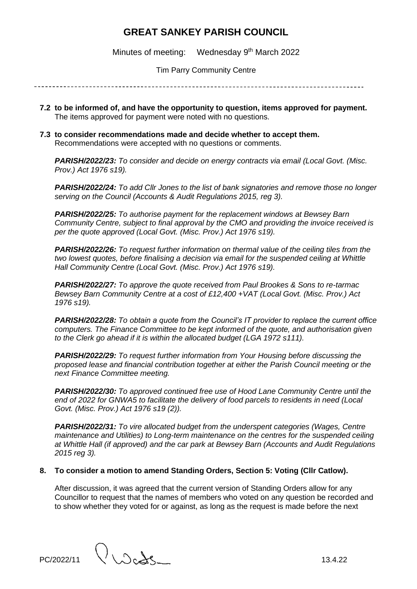Minutes of meeting: Wednesday 9<sup>th</sup> March 2022

Tim Parry Community Centre

- **7.2 to be informed of, and have the opportunity to question, items approved for payment.** The items approved for payment were noted with no questions.
- **7.3 to consider recommendations made and decide whether to accept them.** Recommendations were accepted with no questions or comments.

*PARISH/2022/23: To consider and decide on energy contracts via email (Local Govt. (Misc. Prov.) Act 1976 s19).*

*PARISH/2022/24: To add Cllr Jones to the list of bank signatories and remove those no longer serving on the Council (Accounts & Audit Regulations 2015, reg 3).*

*PARISH/2022/25: To authorise payment for the replacement windows at Bewsey Barn Community Centre, subject to final approval by the CMO and providing the invoice received is per the quote approved (Local Govt. (Misc. Prov.) Act 1976 s19).*

*PARISH/2022/26: To request further information on thermal value of the ceiling tiles from the two lowest quotes, before finalising a decision via email for the suspended ceiling at Whittle Hall Community Centre (Local Govt. (Misc. Prov.) Act 1976 s19).*

*PARISH/2022/27: To approve the quote received from Paul Brookes & Sons to re-tarmac Bewsey Barn Community Centre at a cost of £12,400 +VAT (Local Govt. (Misc. Prov.) Act 1976 s19).*

*PARISH/2022/28: To obtain a quote from the Council's IT provider to replace the current office computers. The Finance Committee to be kept informed of the quote, and authorisation given to the Clerk go ahead if it is within the allocated budget (LGA 1972 s111).*

*PARISH/2022/29: To request further information from Your Housing before discussing the proposed lease and financial contribution together at either the Parish Council meeting or the next Finance Committee meeting.*

*PARISH/2022/30: To approved continued free use of Hood Lane Community Centre until the end of 2022 for GNWA5 to facilitate the delivery of food parcels to residents in need (Local Govt. (Misc. Prov.) Act 1976 s19 (2)).*

*PARISH/2022/31: To vire allocated budget from the underspent categories (Wages, Centre maintenance and Utilities) to Long-term maintenance on the centres for the suspended ceiling at Whittle Hall (if approved) and the car park at Bewsey Barn (Accounts and Audit Regulations 2015 reg 3).*

# **8. To consider a motion to amend Standing Orders, Section 5: Voting (Cllr Catlow).**

After discussion, it was agreed that the current version of Standing Orders allow for any Councillor to request that the names of members who voted on any question be recorded and to show whether they voted for or against, as long as the request is made before the next

PC/2022/11  $\bigcup_{\lambda \in \Lambda} \bigcup_{\lambda \in \Lambda}$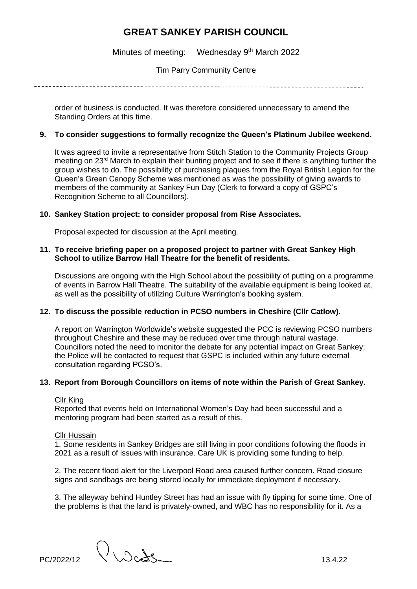Minutes of meeting: Wednesday 9<sup>th</sup> March 2022

Tim Parry Community Centre

order of business is conducted. It was therefore considered unnecessary to amend the Standing Orders at this time.

### **9. To consider suggestions to formally recognize the Queen's Platinum Jubilee weekend.**

It was agreed to invite a representative from Stitch Station to the Community Projects Group meeting on 23rd March to explain their bunting project and to see if there is anything further the group wishes to do. The possibility of purchasing plaques from the Royal British Legion for the Queen's Green Canopy Scheme was mentioned as was the possibility of giving awards to members of the community at Sankey Fun Day (Clerk to forward a copy of GSPC's Recognition Scheme to all Councillors).

# **10. Sankey Station project: to consider proposal from Rise Associates.**

Proposal expected for discussion at the April meeting.

### **11. To receive briefing paper on a proposed project to partner with Great Sankey High School to utilize Barrow Hall Theatre for the benefit of residents.**

Discussions are ongoing with the High School about the possibility of putting on a programme of events in Barrow Hall Theatre. The suitability of the available equipment is being looked at, as well as the possibility of utilizing Culture Warrington's booking system.

# **12. To discuss the possible reduction in PCSO numbers in Cheshire (Cllr Catlow).**

A report on Warrington Worldwide's website suggested the PCC is reviewing PCSO numbers throughout Cheshire and these may be reduced over time through natural wastage. Councillors noted the need to monitor the debate for any potential impact on Great Sankey; the Police will be contacted to request that GSPC is included within any future external consultation regarding PCSO's.

# **13. Report from Borough Councillors on items of note within the Parish of Great Sankey.**

# Cllr King

Reported that events held on International Women's Day had been successful and a mentoring program had been started as a result of this.

## Cllr Hussain

1. Some residents in Sankey Bridges are still living in poor conditions following the floods in 2021 as a result of issues with insurance. Care UK is providing some funding to help.

2. The recent flood alert for the Liverpool Road area caused further concern. Road closure signs and sandbags are being stored locally for immediate deployment if necessary.

3. The alleyway behind Huntley Street has had an issue with fly tipping for some time. One of the problems is that the land is privately-owned, and WBC has no responsibility for it. As a

 $PC/2022/12$   $\bigcup \bigcup \bigcup \bigcup \bigcup \bigcup \bigcup$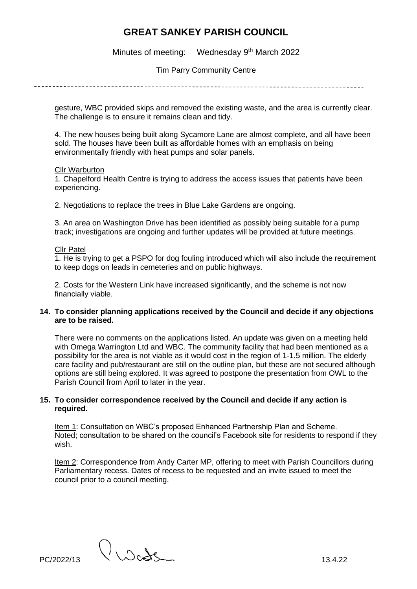Minutes of meeting: Wednesday 9<sup>th</sup> March 2022

Tim Parry Community Centre

gesture, WBC provided skips and removed the existing waste, and the area is currently clear. The challenge is to ensure it remains clean and tidy.

4. The new houses being built along Sycamore Lane are almost complete, and all have been sold. The houses have been built as affordable homes with an emphasis on being environmentally friendly with heat pumps and solar panels.

#### Cllr Warburton

1. Chapelford Health Centre is trying to address the access issues that patients have been experiencing.

2. Negotiations to replace the trees in Blue Lake Gardens are ongoing.

3. An area on Washington Drive has been identified as possibly being suitable for a pump track; investigations are ongoing and further updates will be provided at future meetings.

#### Cllr Patel

1. He is trying to get a PSPO for dog fouling introduced which will also include the requirement to keep dogs on leads in cemeteries and on public highways.

2. Costs for the Western Link have increased significantly, and the scheme is not now financially viable.

### **14. To consider planning applications received by the Council and decide if any objections are to be raised.**

There were no comments on the applications listed. An update was given on a meeting held with Omega Warrington Ltd and WBC. The community facility that had been mentioned as a possibility for the area is not viable as it would cost in the region of 1-1.5 million. The elderly care facility and pub/restaurant are still on the outline plan, but these are not secured although options are still being explored. It was agreed to postpone the presentation from OWL to the Parish Council from April to later in the year.

### **15. To consider correspondence received by the Council and decide if any action is required.**

Item 1: Consultation on WBC's proposed Enhanced Partnership Plan and Scheme. Noted; consultation to be shared on the council's Facebook site for residents to respond if they wish.

Item 2: Correspondence from Andy Carter MP, offering to meet with Parish Councillors during Parliamentary recess. Dates of recess to be requested and an invite issued to meet the council prior to a council meeting.

PC/2022/13 13.4.22